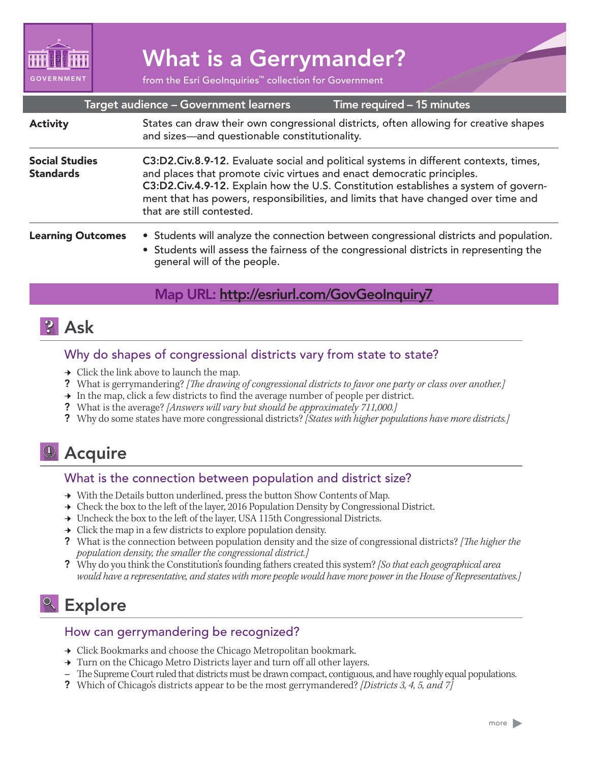

# What is a Gerrymander?

from the Esri GeoInquiries™ collection for Government

| Target audience - Government learners<br>Time required - 15 minutes |                                                                                                                                                                                                                                                                                                                                                                           |
|---------------------------------------------------------------------|---------------------------------------------------------------------------------------------------------------------------------------------------------------------------------------------------------------------------------------------------------------------------------------------------------------------------------------------------------------------------|
| <b>Activity</b>                                                     | States can draw their own congressional districts, often allowing for creative shapes<br>and sizes-and questionable constitutionality.                                                                                                                                                                                                                                    |
| <b>Social Studies</b><br><b>Standards</b>                           | C3:D2.Civ.8.9-12. Evaluate social and political systems in different contexts, times,<br>and places that promote civic virtues and enact democratic principles.<br>C3:D2.Civ.4.9-12. Explain how the U.S. Constitution establishes a system of govern-<br>ment that has powers, responsibilities, and limits that have changed over time and<br>that are still contested. |
| <b>Learning Outcomes</b>                                            | • Students will analyze the connection between congressional districts and population.<br>• Students will assess the fairness of the congressional districts in representing the<br>general will of the people.                                                                                                                                                           |

## Map URL: http://esriurl.com/GovGeoInquiry7

# **?** Ask

## Why do shapes of congressional districts vary from state to state?

- $\rightarrow$  Click the link above to launch the map.
- ? What is gerrymandering? *[The drawing of congressional districts to favor one party or class over another.]*
- $\rightarrow$  In the map, click a few districts to find the average number of people per district.
- ? What is the average? *[Answers will vary but should be approximately 711,000.]*
- ? Why do some states have more congressional districts? *[States with higher populations have more districts.]*

# <sup>1</sup> Acquire

## What is the connection between population and district size?

- $\rightarrow$  With the Details button underlined, press the button Show Contents of Map.
- → Check the box to the left of the layer, 2016 Population Density by Congressional District.
- → Uncheck the box to the left of the layer, USA 115th Congressional Districts.
- $\rightarrow$  Click the map in a few districts to explore population density.
- ? What is the connection between population density and the size of congressional districts? *[The higher the population density, the smaller the congressional district.]*
- ? Why do you think the Constitution's founding fathers created this system? *[So that each geographical area would have a representative, and states with more people would have more power in the House of Representatives.]*

# <sup>Q</sup> Explore

## How can gerrymandering be recognized?

- → Click Bookmarks and choose the Chicago Metropolitan bookmark.
- → Turn on the Chicago Metro Districts layer and turn off all other layers.
- **–** The Supreme Court ruled that districts must be drawn compact, contiguous, and have roughly equal populations.
- ? Which of Chicago's districts appear to be the most gerrymandered? *[Districts 3, 4, 5, and 7]*